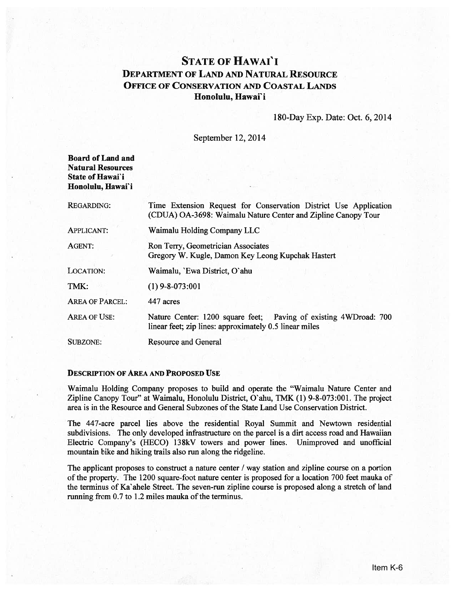# STATE OF HAwAI'I DEPARTMENT OF LAND AND NATURAL RESOURCE OFFICE OF CONSERVATION AND COASTAL LANDS Honolulu, Hawai'i

## 180-Day Exp. Date: Oct. 6, 2014

September 12, 2014

| <b>Board of Land and</b> |  |
|--------------------------|--|
| <b>Natural Resources</b> |  |
| State of Hawai'i         |  |
| Honolulu, Hawai`i        |  |

| <b>REGARDING:</b>      | Time Extension Request for Conservation District Use Application<br>(CDUA) OA-3698: Waimalu Nature Center and Zipline Canopy Tour |  |
|------------------------|-----------------------------------------------------------------------------------------------------------------------------------|--|
| <b>APPLICANT:</b>      | Waimalu Holding Company LLC                                                                                                       |  |
| AGENT:                 | Ron Terry, Geometrician Associates<br>Gregory W. Kugle, Damon Key Leong Kupchak Hastert                                           |  |
| LOCATION:              | Waimalu, 'Ewa District, O'ahu                                                                                                     |  |
| TMK:                   | $(1)$ 9-8-073:001                                                                                                                 |  |
| <b>AREA OF PARCEL:</b> | 447 acres                                                                                                                         |  |
| <b>AREA OF USE:</b>    | Nature Center: 1200 square feet; Paving of existing 4WDroad: 700<br>linear feet; zip lines: approximately 0.5 linear miles        |  |
| SUBZONE:               | <b>Resource and General</b>                                                                                                       |  |
|                        |                                                                                                                                   |  |

## DESCRIPTION OF AREA AND PROPOSED USE

Waimalu Holding Company proposes to build and operate the "Waimalu Nature Center and Zipline Canopy Tour" at Waimalu, Honolulu District, O'ahu, TMK (1) 9-8-073:001. The project area is in the Resource and General Subzones ofthe State Land Use Conservation District.

The 447-acre parcel lies above the residential Royal Summit and Newtown residential subdivisions. The only developed infrastructure on the parcel is <sup>a</sup> dirt access road and Hawaiian Electric Company's (HECO) 138kV towers and power lines. Unimproved and unofficial mountain bike and hiking trails also run along the ridgeline.

The applicant proposes to construct <sup>a</sup> nature center / way station and zipline course on <sup>a</sup> portion of the property. The <sup>1200</sup> square-foot nature center is proposed for <sup>a</sup> location <sup>700</sup> feet mauka of the terminus of Ka'ahele Street. The seven-run zipline course is proposed along <sup>a</sup> stretch of land running from 0.7 to 1.2 miles mauka of the terminus.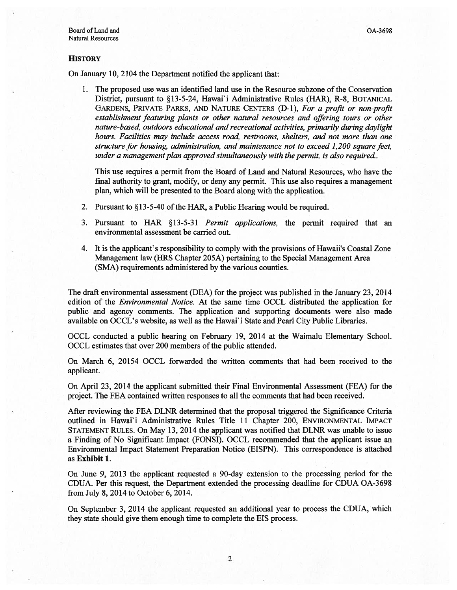#### **HISTORY**

On January 10, 2104 the Department notified the applicant that:

1. The proposed use was an identified land use in the Resource subzone ofthe Conservation District, pursuan<sup>t</sup> to §13-5-24, Hawai'i Administrative Rules (HAR), R-8, BOTANICAL GARDENS, PRIVATE PARKS, AND NATURE CENTERS (D-1), For <sup>a</sup> profit or non-profit establishment featuring plants or other natural resources and offering tours or other nature-based, outdoors educational and recreational activities, primarily during daylight hours. Facilities may include access road, restrooms, shelters, and not more than one structure for housing, administration, and maintenance not to exceed 1,200 square feet, under a management plan approved simultaneously with the permit, is also required..

This use requires <sup>a</sup> permit from the Board of Land and Natural Resources, who have the final authority to grant, modify, or deny any permit. This use also requires <sup>a</sup> managemen<sup>t</sup> plan, which will be presented to the Board along with the application.

- 2. Pursuant to  $$13-5-40$  of the HAR, a Public Hearing would be required.
- 3. Pursuant to HAR  $§13-5-31$  *Permit applications*, the permit required that an environmental assessment be carried out.
- 4. It is the applicant's responsibility to comply with the provisions of Hawaii's Coastal Zone Management law (HRS Chapter 205A) pertaining to the Special Management Area (SMA) requirements administered by the various counties.

The draft environmental assessment (DEA) for the project was published in the January 23, 2014 edition of the *Environmental Notice*. At the same time OCCL distributed the application for public and agency comments. The application and supporting documents were also made available on OCCL's website, as well as the Hawai' i State and Pearl City Public Libraries.

OCCL conducted <sup>a</sup> public hearing on February 19, 2014 at the Waimalu Elementary School. OCCL estimates that over 200 members of the public attended.

On March 6, 20154 OCCL forwarded the written comments that had been received to the applicant.

On April 23, 2014 the applicant submitted their Final Environmental Assessment (FEA) for the project. The FEA contained written responses to all the comments that had been received.

After reviewing the FEA DLNR determined that the proposal triggered the Significance Criteria outlined in Hawai'i Administrative Rules Title 11 Chapter 200, ENVIRONMENTAL IMPACT STATEMENT RULES. On May 13, 2014 the applicant was notified that DLNR was unable to issue <sup>a</sup> Finding of No Significant Impact (FONSI). OCCL recommended that the applicant issue an Environmental Impact Statement Preparation Notice (EISPN). This correspondence is attached as Exhibit 1.

On June 9, 2013 the applicant requested <sup>a</sup> 90-day extension to the processing period for the CDUA. Per this request, the Department extended the processing deadline for CDUA OA-3698 from July 8, 2014 to October 6, 2014.

On September 3, 2014 the applicant requested an additional year to process the CDUA, which they state should give them enough time to complete the EIS process.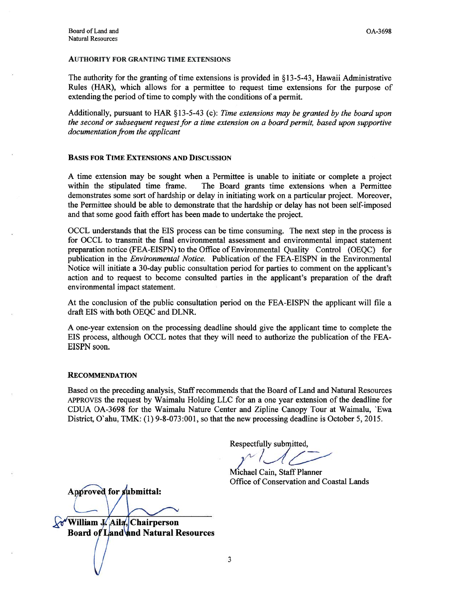#### AUTHORITY FOR GRANTING TIME EXTENSIONS

The authority for the granting of time extensions is provided in § 13-5-43, Hawaii Administrative Rules (HAR), which allows for <sup>a</sup> permittee to reques<sup>t</sup> time extensions for the purpose of extending the period of time to comply with the conditions of a permit.

Additionally, pursuant to HAR  $\S$ 13-5-43 (c): Time extensions may be granted by the board upon the second or subsequent request for a time extension on a board permit, based upon supportive documentation from the applicant

## BASIS FOR TIME EXTENSIONS AND DISCUSSION

A time extension may be sought when <sup>a</sup> Permittee is unable to initiate or complete <sup>a</sup> project within the stipulated time frame. The Board grants time extensions when <sup>a</sup> Permittee demonstrates some sort of hardship or delay in initiating work on <sup>a</sup> particular project. Moreover, the Permittee should be able to demonstrate that the hardship or delay has not been self-imposed and that some good faith effort has been made to undertake the project.

OCCL understands that the EIS process can be time consuming. The next step in the process is for OCCL to transmit the final environmental assessment and environmental impact statement preparation notice (FEA-EISPN) to the Office of Environmental Quality Control (OEQC) for publication in the Environmental Notice. Publication of the FEA-EISPN in the Environmental Notice will initiate <sup>a</sup> 30-day public consultation period for parties to comment on the applicant's action and to reques<sup>t</sup> to become consulted parties in the applicant's preparation of the draft environmental impact statement.

At the conclusion of the public consultation period on the FEA-EISPN the applicant will file <sup>a</sup> draft EIS with both OEQC and DLNR.

A one-year extension on the processing deadline should give the applicant time to complete the EIS process, although OCCL notes that they will need to authorize the publication of the FEA EISPN soon.

#### RECOMMENDATION

Based on the preceding analysis, Staff recommends that the Board of Land and Natural Resources APPROVES the reques<sup>t</sup> by Waimalu Holding LLC for an <sup>a</sup> one year extension of the deadline for CDUA OA-3698 for the Waimalu Nature Center and Zipline Canopy Tour at Waimalu, 'Ewa District, O'ahu, TMK: (1) 9-8-073:001, so that the new processing deadline is October 5, 2015.

Respectfully submitted,

 $\gamma$ <sup>-</sup>

Michael Cain, Staff Planner Office of Conservation and Coastal Lands

Approved for submittal:

**William J. Aila, Chairperson** Board of Land and Natural Resources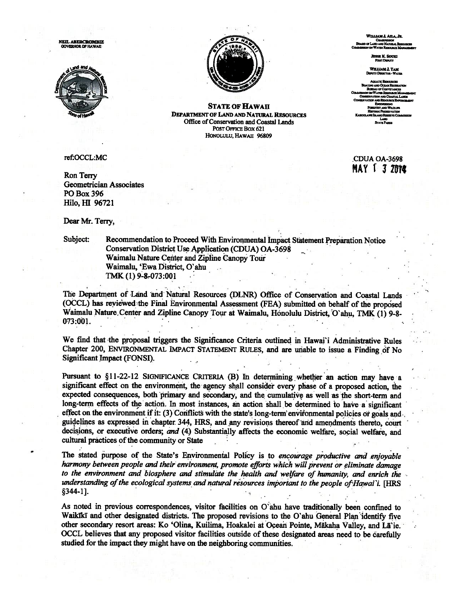**NEIL ABERCROMBIE**<br>GOVERNOR OF HAWAII





**STATE OF HAWAII DEPARTMENT OF LAND AND NATURAL RESOURCES** Office of Conservation and Coastal Lands POST OFFICE BOX 621 HONOLULU, HAWAII 96809

ref:OCCL:MC

Ron Terry **Geometrician Associates PO Box 396** Hilo, HI 96721

Dear Mr. Terry,

Subject:

Recommendation to Proceed With Environmental Impact Statement Preparation Notice Conservation District Use Application (CDUA) OA-3698 Waimalu Nature Center and Zipline Canopy Tour Waimalu, 'Ewa District, O'ahu TMK (1) 9-8-073:001

The Department of Land and Natural Resources (DLNR) Office of Conservation and Coastal Lands (OCCL) has reviewed the Final Environmental Assessment (FEA) submitted on behalf of the proposed Waimalu Nature Center and Zipline Canopy Tour at Waimalu, Honolulu District, O'ahu, TMK (1) 9-8-073:001.

We find that the proposal triggers the Significance Criteria outlined in Hawai'i Administrative Rules Chapter 200, ENVIRONMENTAL IMPACT STATEMENT RULES, and are unable to issue a Finding of No Significant Impact (FONSI).

Pursuant to §11-22-12 SIGNIFICANCE CRITERIA (B) In determining whether an action may have a significant effect on the environment, the agency shall consider every phase of a proposed action, the expected consequences, both primary and secondary, and the cumulative as well as the short-term and long-term effects of the action. In most instances, an action shall be determined to have a significant effect on the environment if it: (3) Conflicts with the state's long-term environmental policies or goals and guidelines as expressed in chapter 344, HRS, and any revisions thereof and amendments thereto, court decisions, or executive orders; and (4) Substantially affects the economic welfare, social welfare, and cultural practices of the community or State

The stated purpose of the State's Environmental Policy is to encourage productive and enjoyable harmony between people and their environment, promote efforts which will prevent or eliminate damage to the environment and biosphere and stimulate the health and welfare of humanity, and enrich the understanding of the ecological systems and natural resources important to the people of Hawai'i. [HRS  $§344-1]$ .

As noted in previous correspondences, visitor facilities on O'ahu have traditionally been confined to Waikiki and other designated districts. The proposed revisions to the O'ahu General Plan identify five other secondary resort areas: Ko 'Olina, Kuilima, Hoakalei at Ocean Pointe, Mākaha Valley, and Lā`ie. OCCL believes that any proposed visitor facilities outside of these designated areas need to be carefully studied for the impact they might have on the neighboring communities.

WILLIAM L ARA. JR. **D OF LAND AND NATURAL B** 

**ISSIE K. SOUKI** 

**WILLIAM J. TAM<br>SHITY DERCTOR - WATE** 

**STATE PARKS** 

CDUA OA-3698 **MAY 1 3 2014**